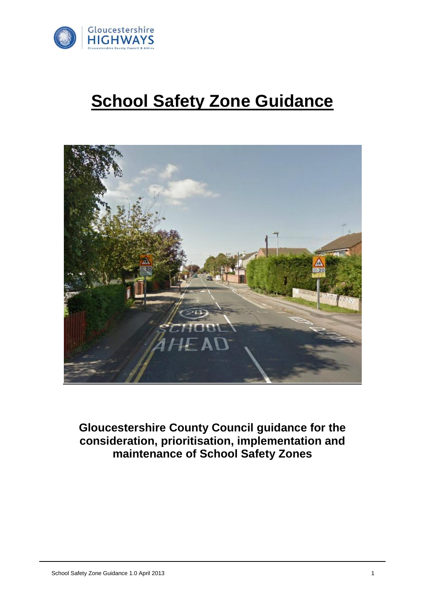

## **School Safety Zone Guidance**



**Gloucestershire County Council guidance for the consideration, prioritisation, implementation and maintenance of School Safety Zones**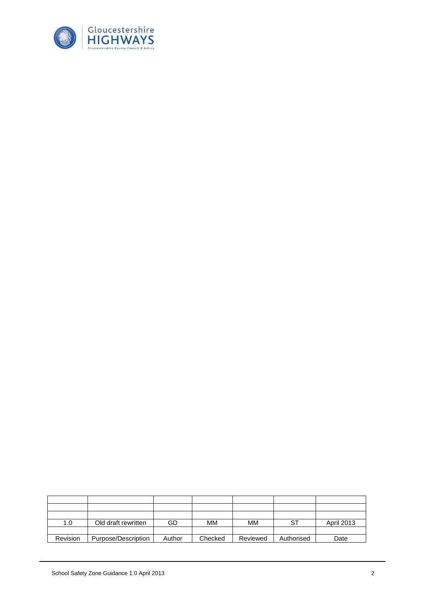

| 1.0      | Old draft rewritten | GD     | MМ      | MМ       |            | April 2013 |
|----------|---------------------|--------|---------|----------|------------|------------|
|          |                     |        |         |          |            |            |
| Revision | Purpose/Description | Author | Checked | Reviewed | Authorised | Date       |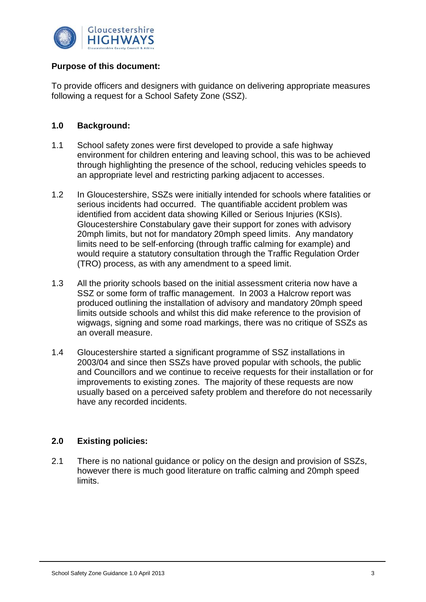

#### **Purpose of this document:**

To provide officers and designers with guidance on delivering appropriate measures following a request for a School Safety Zone (SSZ).

#### **1.0 Background:**

- 1.1 School safety zones were first developed to provide a safe highway environment for children entering and leaving school, this was to be achieved through highlighting the presence of the school, reducing vehicles speeds to an appropriate level and restricting parking adjacent to accesses.
- 1.2 In Gloucestershire, SSZs were initially intended for schools where fatalities or serious incidents had occurred. The quantifiable accident problem was identified from accident data showing Killed or Serious Injuries (KSIs). Gloucestershire Constabulary gave their support for zones with advisory 20mph limits, but not for mandatory 20mph speed limits. Any mandatory limits need to be self-enforcing (through traffic calming for example) and would require a statutory consultation through the Traffic Regulation Order (TRO) process, as with any amendment to a speed limit.
- 1.3 All the priority schools based on the initial assessment criteria now have a SSZ or some form of traffic management. In 2003 a Halcrow report was produced outlining the installation of advisory and mandatory 20mph speed limits outside schools and whilst this did make reference to the provision of wigwags, signing and some road markings, there was no critique of SSZs as an overall measure.
- 1.4 Gloucestershire started a significant programme of SSZ installations in 2003/04 and since then SSZs have proved popular with schools, the public and Councillors and we continue to receive requests for their installation or for improvements to existing zones. The majority of these requests are now usually based on a perceived safety problem and therefore do not necessarily have any recorded incidents.

#### **2.0 Existing policies:**

2.1 There is no national guidance or policy on the design and provision of SSZs, however there is much good literature on traffic calming and 20mph speed limits.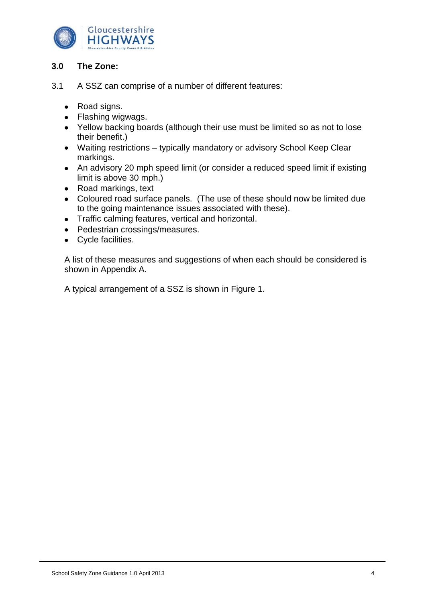

#### **3.0 The Zone:**

- 3.1 A SSZ can comprise of a number of different features:
	- Road signs.
	- Flashing wigwags.
	- Yellow backing boards (although their use must be limited so as not to lose their benefit.)
	- Waiting restrictions typically mandatory or advisory School Keep Clear markings.
	- An advisory 20 mph speed limit (or consider a reduced speed limit if existing limit is above 30 mph.)
	- Road markings, text
	- Coloured road surface panels. (The use of these should now be limited due to the going maintenance issues associated with these).
	- Traffic calming features, vertical and horizontal.
	- Pedestrian crossings/measures.
	- Cycle facilities.

A list of these measures and suggestions of when each should be considered is shown in Appendix A.

A typical arrangement of a SSZ is shown in Figure 1.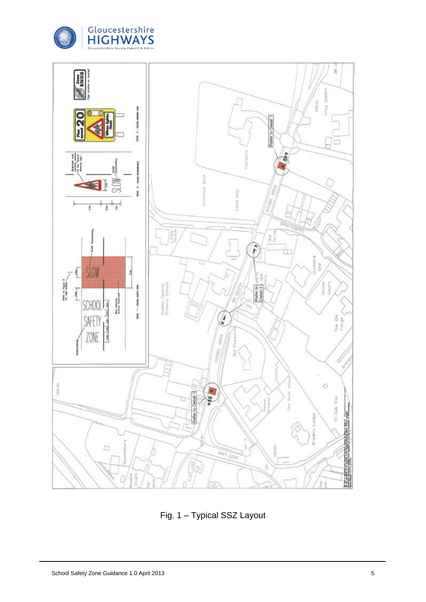



Fig. 1 – Typical SSZ Layout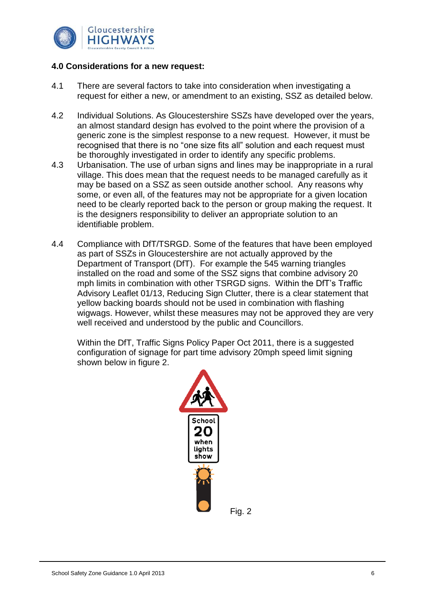

#### **4.0 Considerations for a new request:**

- 4.1 There are several factors to take into consideration when investigating a request for either a new, or amendment to an existing, SSZ as detailed below.
- 4.2 Individual Solutions. As Gloucestershire SSZs have developed over the years, an almost standard design has evolved to the point where the provision of a generic zone is the simplest response to a new request. However, it must be recognised that there is no "one size fits all" solution and each request must be thoroughly investigated in order to identify any specific problems.
- 4.3 Urbanisation. The use of urban signs and lines may be inappropriate in a rural village. This does mean that the request needs to be managed carefully as it may be based on a SSZ as seen outside another school. Any reasons why some, or even all, of the features may not be appropriate for a given location need to be clearly reported back to the person or group making the request. It is the designers responsibility to deliver an appropriate solution to an identifiable problem.
- 4.4 Compliance with DfT/TSRGD. Some of the features that have been employed as part of SSZs in Gloucestershire are not actually approved by the Department of Transport (DfT). For example the 545 warning triangles installed on the road and some of the SSZ signs that combine advisory 20 mph limits in combination with other TSRGD signs. Within the DfT's Traffic Advisory Leaflet 01/13, Reducing Sign Clutter, there is a clear statement that yellow backing boards should not be used in combination with flashing wigwags. However, whilst these measures may not be approved they are very well received and understood by the public and Councillors.

Within the DfT, Traffic Signs Policy Paper Oct 2011, there is a suggested configuration of signage for part time advisory 20mph speed limit signing shown below in figure 2.

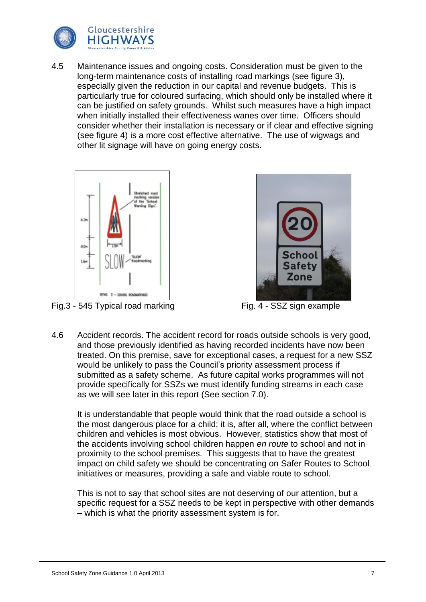

4.5 Maintenance issues and ongoing costs. Consideration must be given to the long-term maintenance costs of installing road markings (see figure 3), especially given the reduction in our capital and revenue budgets. This is particularly true for coloured surfacing, which should only be installed where it can be justified on safety grounds. Whilst such measures have a high impact when initially installed their effectiveness wanes over time. Officers should consider whether their installation is necessary or if clear and effective signing (see figure 4) is a more cost effective alternative. The use of wigwags and other lit signage will have on going energy costs.



Fig.3 - 545 Typical road marking Fig. 4 - SSZ sign example



4.6 Accident records. The accident record for roads outside schools is very good, and those previously identified as having recorded incidents have now been treated. On this premise, save for exceptional cases, a request for a new SSZ would be unlikely to pass the Council's priority assessment process if submitted as a safety scheme. As future capital works programmes will not provide specifically for SSZs we must identify funding streams in each case as we will see later in this report (See section 7.0).

It is understandable that people would think that the road outside a school is the most dangerous place for a child; it is, after all, where the conflict between children and vehicles is most obvious. However, statistics show that most of the accidents involving school children happen *en route* to school and not in proximity to the school premises. This suggests that to have the greatest impact on child safety we should be concentrating on Safer Routes to School initiatives or measures, providing a safe and viable route to school.

This is not to say that school sites are not deserving of our attention, but a specific request for a SSZ needs to be kept in perspective with other demands – which is what the priority assessment system is for.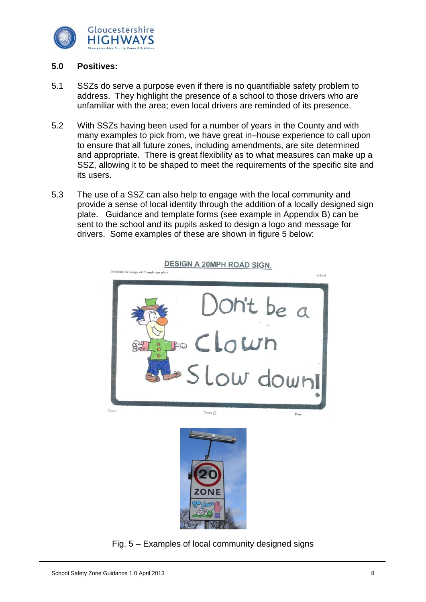

#### **5.0 Positives:**

- 5.1 SSZs do serve a purpose even if there is no quantifiable safety problem to address. They highlight the presence of a school to those drivers who are unfamiliar with the area; even local drivers are reminded of its presence.
- 5.2 With SSZs having been used for a number of years in the County and with many examples to pick from, we have great in–house experience to call upon to ensure that all future zones, including amendments, are site determined and appropriate. There is great flexibility as to what measures can make up a SSZ, allowing it to be shaped to meet the requirements of the specific site and its users.
- 5.3 The use of a SSZ can also help to engage with the local community and provide a sense of local identity through the addition of a locally designed sign plate. Guidance and template forms (see example in Appendix B) can be sent to the school and its pupils asked to design a logo and message for drivers. Some examples of these are shown in figure 5 below:



**DESIGN A 20MPH ROAD SIGN.** 

Fig. 5 – Examples of local community designed signs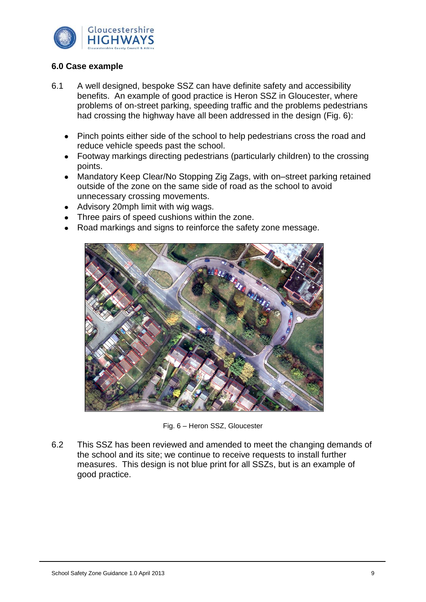

#### **6.0 Case example**

- 6.1 A well designed, bespoke SSZ can have definite safety and accessibility benefits. An example of good practice is Heron SSZ in Gloucester, where problems of on-street parking, speeding traffic and the problems pedestrians had crossing the highway have all been addressed in the design (Fig. 6):
	- $\bullet$ Pinch points either side of the school to help pedestrians cross the road and reduce vehicle speeds past the school.
	- Footway markings directing pedestrians (particularly children) to the crossing  $\bullet$ points.
	- $\bullet$ Mandatory Keep Clear/No Stopping Zig Zags, with on–street parking retained outside of the zone on the same side of road as the school to avoid unnecessary crossing movements.
	- Advisory 20mph limit with wig wags.
	- Three pairs of speed cushions within the zone.
	- Road markings and signs to reinforce the safety zone message.



Fig. 6 – Heron SSZ, Gloucester

6.2 This SSZ has been reviewed and amended to meet the changing demands of the school and its site; we continue to receive requests to install further measures. This design is not blue print for all SSZs, but is an example of good practice.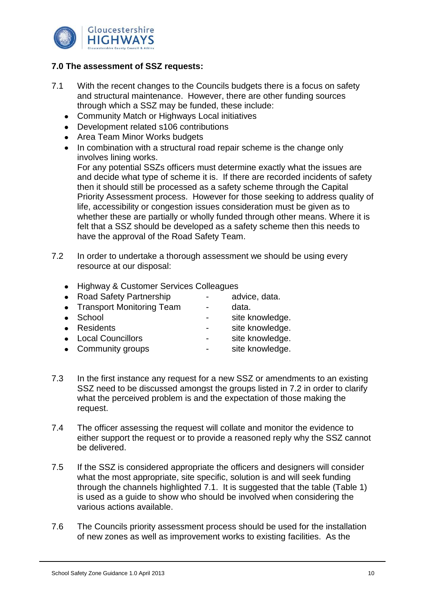

#### **7.0 The assessment of SSZ requests:**

- 7.1 With the recent changes to the Councils budgets there is a focus on safety and structural maintenance. However, there are other funding sources through which a SSZ may be funded, these include:
	- Community Match or Highways Local initiatives
	- Development related s106 contributions
	- Area Team Minor Works budgets
	- In combination with a structural road repair scheme is the change only  $\bullet$ involves lining works.

For any potential SSZs officers must determine exactly what the issues are and decide what type of scheme it is. If there are recorded incidents of safety then it should still be processed as a safety scheme through the Capital Priority Assessment process. However for those seeking to address quality of life, accessibility or congestion issues consideration must be given as to whether these are partially or wholly funded through other means. Where it is felt that a SSZ should be developed as a safety scheme then this needs to have the approval of the Road Safety Team.

- 7.2 In order to undertake a thorough assessment we should be using every resource at our disposal:
	- Highway & Customer Services Colleagues
	- Road Safety Partnership advice, data.
	- Transport Monitoring Team data.
	- School site knowledge.
	- Residents site knowledge.
	- Local Councillors **contains the site container and container** site knowledge.
	- Community groups **community** groups **community** groups **community** groups **community** groups **community** groups **community** groups **community** groups **community** groups **community** groups **community** groups **community** g
- 7.3 In the first instance any request for a new SSZ or amendments to an existing SSZ need to be discussed amongst the groups listed in 7.2 in order to clarify what the perceived problem is and the expectation of those making the request.
- 7.4 The officer assessing the request will collate and monitor the evidence to either support the request or to provide a reasoned reply why the SSZ cannot be delivered.
- 7.5 If the SSZ is considered appropriate the officers and designers will consider what the most appropriate, site specific, solution is and will seek funding through the channels highlighted 7.1. It is suggested that the table (Table 1) is used as a guide to show who should be involved when considering the various actions available.
- 7.6 The Councils priority assessment process should be used for the installation of new zones as well as improvement works to existing facilities. As the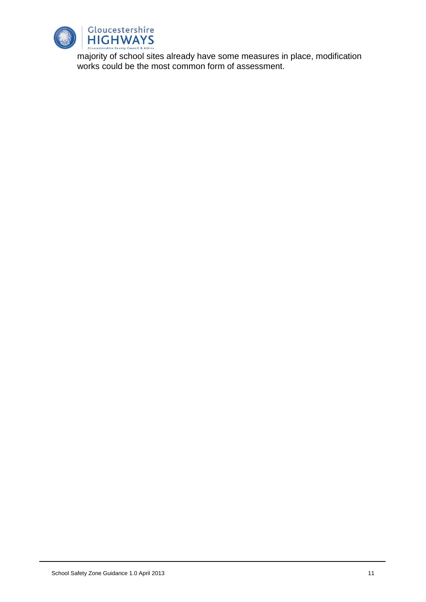

majority of school sites already have some measures in place, modification works could be the most common form of assessment.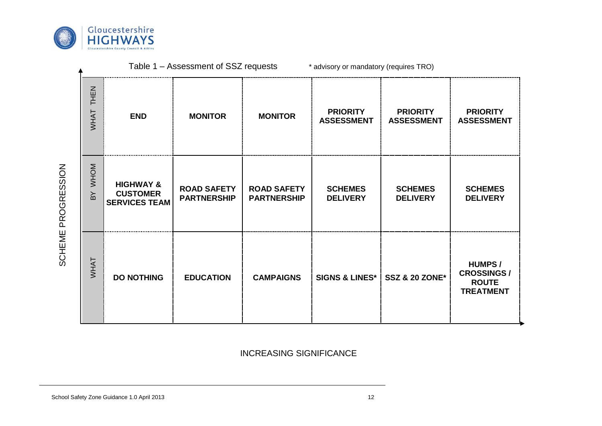

| THEN<br>WHAT                  | <b>END</b>                                                      | <b>MONITOR</b>                           | <b>MONITOR</b>                           | <b>PRIORITY</b><br><b>ASSESSMENT</b> | <b>PRIORITY</b><br><b>ASSESSMENT</b> | <b>PRIORITY</b><br><b>ASSESSMENT</b>                                   |
|-------------------------------|-----------------------------------------------------------------|------------------------------------------|------------------------------------------|--------------------------------------|--------------------------------------|------------------------------------------------------------------------|
| <b>MHOM</b><br>$\overline{B}$ | <b>HIGHWAY &amp;</b><br><b>CUSTOMER</b><br><b>SERVICES TEAM</b> | <b>ROAD SAFETY</b><br><b>PARTNERSHIP</b> | <b>ROAD SAFETY</b><br><b>PARTNERSHIP</b> | <b>SCHEMES</b><br><b>DELIVERY</b>    | <b>SCHEMES</b><br><b>DELIVERY</b>    | <b>SCHEMES</b><br><b>DELIVERY</b>                                      |
| <b>VVHAT</b>                  | <b>DO NOTHING</b>                                               | <b>EDUCATION</b>                         | <b>CAMPAIGNS</b>                         | <b>SIGNS &amp; LINES*</b>            | <b>SSZ &amp; 20 ZONE*</b>            | <b>HUMPS/</b><br><b>CROSSINGS/</b><br><b>ROUTE</b><br><b>TREATMENT</b> |

Table 1 – Assessment of SSZ requests \* advisory or mandatory (requires TRO)

INCREASING SIGNIFICANCE

# SCHEME PROGRESSION SCHEME PROGRESSION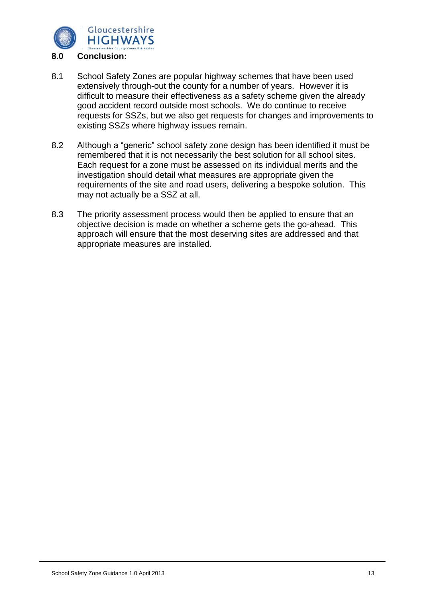

- 8.1 School Safety Zones are popular highway schemes that have been used extensively through-out the county for a number of years. However it is difficult to measure their effectiveness as a safety scheme given the already good accident record outside most schools. We do continue to receive requests for SSZs, but we also get requests for changes and improvements to existing SSZs where highway issues remain.
- 8.2 Although a "generic" school safety zone design has been identified it must be remembered that it is not necessarily the best solution for all school sites. Each request for a zone must be assessed on its individual merits and the investigation should detail what measures are appropriate given the requirements of the site and road users, delivering a bespoke solution. This may not actually be a SSZ at all.
- 8.3 The priority assessment process would then be applied to ensure that an objective decision is made on whether a scheme gets the go-ahead. This approach will ensure that the most deserving sites are addressed and that appropriate measures are installed.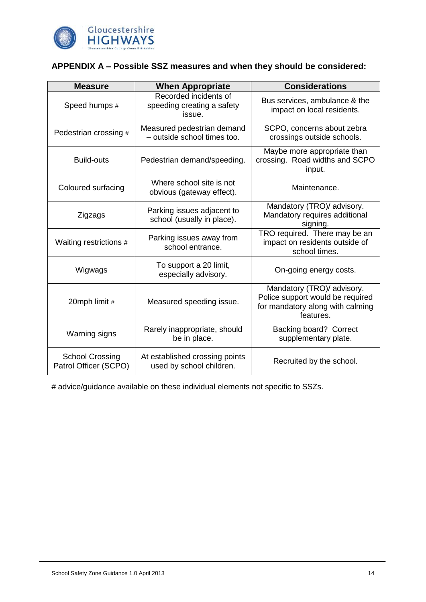

#### **APPENDIX A – Possible SSZ measures and when they should be considered:**

| <b>Measure</b>                                  | <b>When Appropriate</b>                                       | <b>Considerations</b>                                                                                           |  |  |
|-------------------------------------------------|---------------------------------------------------------------|-----------------------------------------------------------------------------------------------------------------|--|--|
| Speed humps #                                   | Recorded incidents of<br>speeding creating a safety<br>issue. | Bus services, ambulance & the<br>impact on local residents.                                                     |  |  |
| Pedestrian crossing #                           | Measured pedestrian demand<br>- outside school times too.     | SCPO, concerns about zebra<br>crossings outside schools.                                                        |  |  |
| <b>Build-outs</b>                               | Pedestrian demand/speeding.                                   | Maybe more appropriate than<br>crossing. Road widths and SCPO<br>input.                                         |  |  |
| Coloured surfacing                              | Where school site is not<br>obvious (gateway effect).         | Maintenance.                                                                                                    |  |  |
| Zigzags                                         | Parking issues adjacent to<br>school (usually in place).      | Mandatory (TRO)/ advisory.<br>Mandatory requires additional<br>signing.                                         |  |  |
| Waiting restrictions #                          | Parking issues away from<br>school entrance.                  | TRO required. There may be an<br>impact on residents outside of<br>school times.                                |  |  |
| Wigwags                                         | To support a 20 limit,<br>especially advisory.                | On-going energy costs.                                                                                          |  |  |
| 20mph limit #                                   | Measured speeding issue.                                      | Mandatory (TRO)/ advisory.<br>Police support would be required<br>for mandatory along with calming<br>features. |  |  |
| Warning signs                                   | Rarely inappropriate, should<br>be in place.                  | Backing board? Correct<br>supplementary plate.                                                                  |  |  |
| <b>School Crossing</b><br>Patrol Officer (SCPO) | At established crossing points<br>used by school children.    | Recruited by the school.                                                                                        |  |  |

# advice/guidance available on these individual elements not specific to SSZs.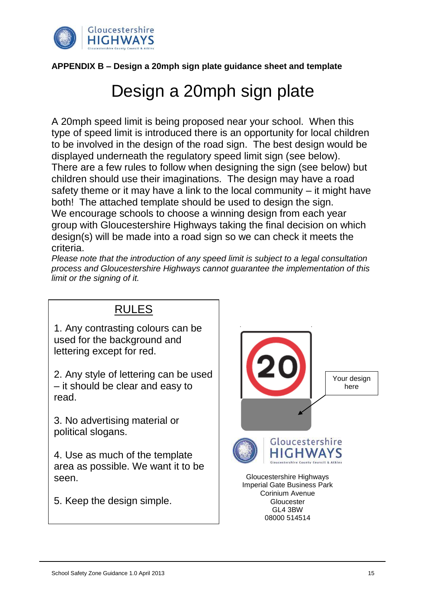

#### **APPENDIX B – Design a 20mph sign plate guidance sheet and template**

### Design a 20mph sign plate

A 20mph speed limit is being proposed near your school. When this type of speed limit is introduced there is an opportunity for local children to be involved in the design of the road sign. The best design would be displayed underneath the regulatory speed limit sign (see below). There are a few rules to follow when designing the sign (see below) but children should use their imaginations. The design may have a road safety theme or it may have a link to the local community – it might have both! The attached template should be used to design the sign. We encourage schools to choose a winning design from each year group with Gloucestershire Highways taking the final decision on which design(s) will be made into a road sign so we can check it meets the criteria.

*Please note that the introduction of any speed limit is subject to a legal consultation process and Gloucestershire Highways cannot guarantee the implementation of this limit or the signing of it.*

#### RULES 1. Any contrasting colours can be used for the background and lettering except for red. 2. Any style of lettering can be used Your design – it should be clear and easy to here read. 3. No advertising material or political slogans. Gloucestershire 4. Use as much of the template area as possible. We want it to be Gloucestershire Highways seen. Imperial Gate Business Park Corinium Avenue 5. Keep the design simple. **Gloucester** GL4 3BW

08000 514514